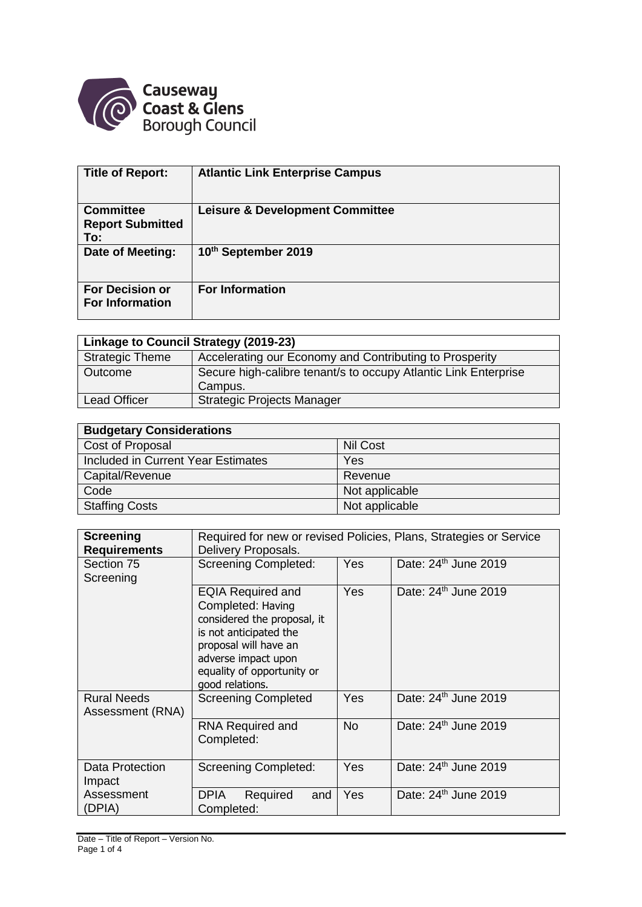

| <b>Title of Report:</b>                            | <b>Atlantic Link Enterprise Campus</b>     |
|----------------------------------------------------|--------------------------------------------|
| <b>Committee</b><br><b>Report Submitted</b><br>To: | <b>Leisure &amp; Development Committee</b> |
| Date of Meeting:                                   | 10th September 2019                        |
| <b>For Decision or</b><br><b>For Information</b>   | <b>For Information</b>                     |

| Linkage to Council Strategy (2019-23) |                                                                 |  |  |
|---------------------------------------|-----------------------------------------------------------------|--|--|
| <b>Strategic Theme</b>                | Accelerating our Economy and Contributing to Prosperity         |  |  |
| Outcome                               | Secure high-calibre tenant/s to occupy Atlantic Link Enterprise |  |  |
|                                       | Campus.                                                         |  |  |
| <b>Lead Officer</b>                   | <b>Strategic Projects Manager</b>                               |  |  |

| <b>Budgetary Considerations</b>    |                 |  |  |  |
|------------------------------------|-----------------|--|--|--|
| Cost of Proposal                   | <b>Nil Cost</b> |  |  |  |
| Included in Current Year Estimates | Yes             |  |  |  |
| Capital/Revenue                    | Revenue         |  |  |  |
| Code                               | Not applicable  |  |  |  |
| <b>Staffing Costs</b>              | Not applicable  |  |  |  |

| <b>Screening</b><br><b>Requirements</b> | Required for new or revised Policies, Plans, Strategies or Service<br>Delivery Proposals.                                                                                                               |            |                                  |  |
|-----------------------------------------|---------------------------------------------------------------------------------------------------------------------------------------------------------------------------------------------------------|------------|----------------------------------|--|
| Section 75<br>Screening                 | <b>Screening Completed:</b>                                                                                                                                                                             | Yes        | Date: 24 <sup>th</sup> June 2019 |  |
|                                         | <b>EQIA Required and</b><br>Completed: Having<br>considered the proposal, it<br>is not anticipated the<br>proposal will have an<br>adverse impact upon<br>equality of opportunity or<br>good relations. | <b>Yes</b> | Date: 24 <sup>th</sup> June 2019 |  |
| <b>Rural Needs</b><br>Assessment (RNA)  | <b>Screening Completed</b>                                                                                                                                                                              | Yes        | Date: 24 <sup>th</sup> June 2019 |  |
|                                         | <b>RNA Required and</b><br>Completed:                                                                                                                                                                   | <b>No</b>  | Date: 24 <sup>th</sup> June 2019 |  |
| Data Protection<br>Impact               | <b>Screening Completed:</b>                                                                                                                                                                             | <b>Yes</b> | Date: 24 <sup>th</sup> June 2019 |  |
| Assessment<br>(DPIA)                    | DPIA<br>Required<br>and<br>Completed:                                                                                                                                                                   | Yes        | Date: $24th$ June 2019           |  |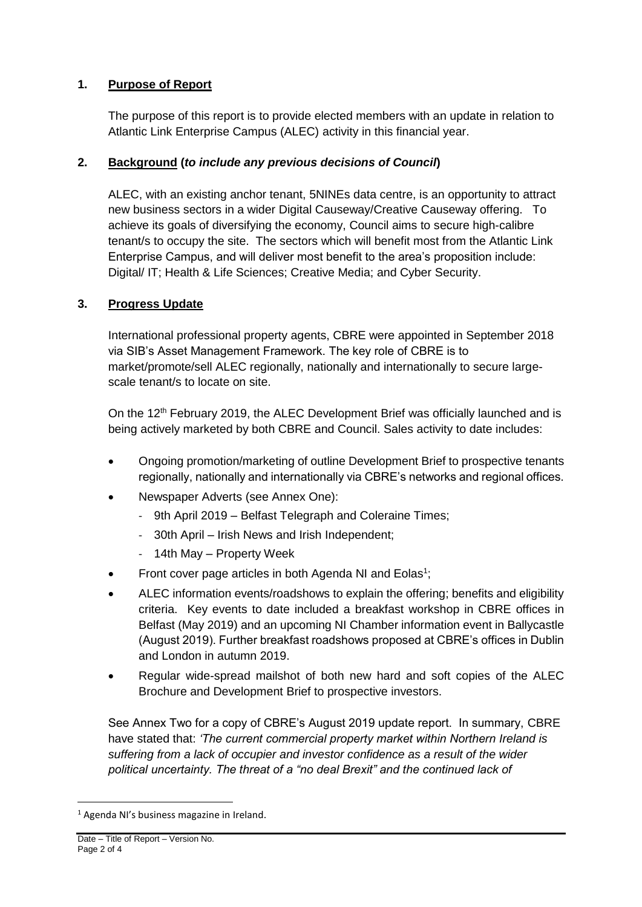# **1. Purpose of Report**

The purpose of this report is to provide elected members with an update in relation to Atlantic Link Enterprise Campus (ALEC) activity in this financial year.

# **2. Background (***to include any previous decisions of Council***)**

ALEC, with an existing anchor tenant, 5NINEs data centre, is an opportunity to attract new business sectors in a wider Digital Causeway/Creative Causeway offering. To achieve its goals of diversifying the economy, Council aims to secure high-calibre tenant/s to occupy the site. The sectors which will benefit most from the Atlantic Link Enterprise Campus, and will deliver most benefit to the area's proposition include: Digital/ IT; Health & Life Sciences; Creative Media; and Cyber Security.

# **3. Progress Update**

International professional property agents, CBRE were appointed in September 2018 via SIB's Asset Management Framework. The key role of CBRE is to market/promote/sell ALEC regionally, nationally and internationally to secure largescale tenant/s to locate on site.

On the 12<sup>th</sup> February 2019, the ALEC Development Brief was officially launched and is being actively marketed by both CBRE and Council. Sales activity to date includes:

- Ongoing promotion/marketing of outline Development Brief to prospective tenants regionally, nationally and internationally via CBRE's networks and regional offices.
- Newspaper Adverts (see Annex One):
	- 9th April 2019 Belfast Telegraph and Coleraine Times;
	- 30th April Irish News and Irish Independent;
	- 14th May Property Week
- Front cover page articles in both Agenda NI and Eolas<sup>1</sup>;
- ALEC information events/roadshows to explain the offering; benefits and eligibility criteria. Key events to date included a breakfast workshop in CBRE offices in Belfast (May 2019) and an upcoming NI Chamber information event in Ballycastle (August 2019). Further breakfast roadshows proposed at CBRE's offices in Dublin and London in autumn 2019.
- Regular wide-spread mailshot of both new hard and soft copies of the ALEC Brochure and Development Brief to prospective investors.

See Annex Two for a copy of CBRE's August 2019 update report. In summary, CBRE have stated that: *'The current commercial property market within Northern Ireland is suffering from a lack of occupier and investor confidence as a result of the wider political uncertainty. The threat of a "no deal Brexit" and the continued lack of* 

<u>.</u>

<sup>1</sup> Agenda NI's business magazine in Ireland.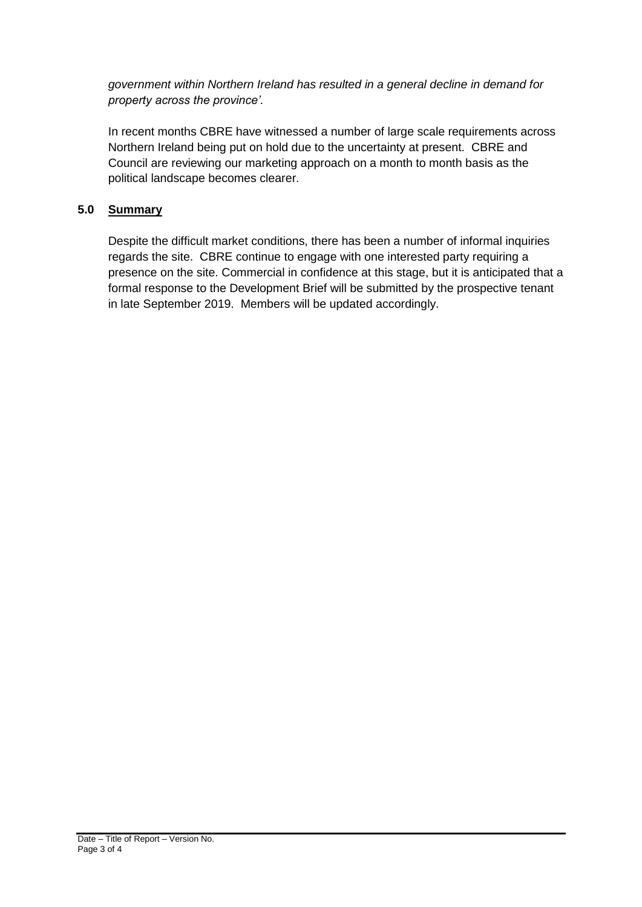*government within Northern Ireland has resulted in a general decline in demand for property across the province'.*

In recent months CBRE have witnessed a number of large scale requirements across Northern Ireland being put on hold due to the uncertainty at present. CBRE and Council are reviewing our marketing approach on a month to month basis as the political landscape becomes clearer.

### **5.0 Summary**

Despite the difficult market conditions, there has been a number of informal inquiries regards the site. CBRE continue to engage with one interested party requiring a presence on the site. Commercial in confidence at this stage, but it is anticipated that a formal response to the Development Brief will be submitted by the prospective tenant in late September 2019. Members will be updated accordingly.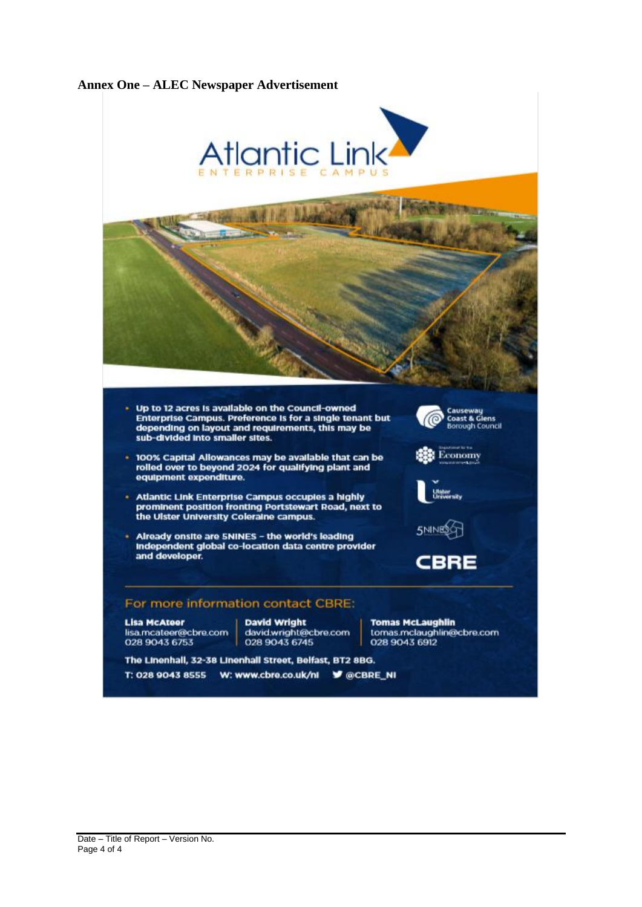

## **Annex One – ALEC Newspaper Advertisement**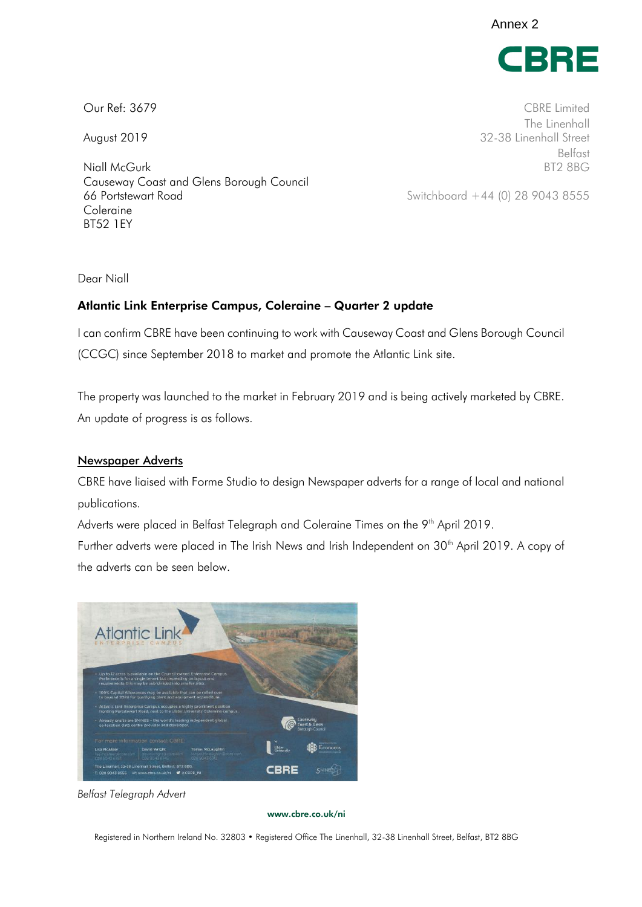Annex 2



Niall McGurk BT2 8BG Causeway Coast and Glens Borough Council 66 Portstewart Road Switchboard +44 (0) 28 9043 8555 Coleraine BT52 1EY

Our Ref: 3679 CBRE Limited The Linenhall August 2019 **32-38 Linenhall Street** Belfast

Dear Niall

### Atlantic Link Enterprise Campus, Coleraine – Quarter 2 update

I can confirm CBRE have been continuing to work with Causeway Coast and Glens Borough Council (CCGC) since September 2018 to market and promote the Atlantic Link site.

The property was launched to the market in February 2019 and is being actively marketed by CBRE. An update of progress is as follows.

#### Newspaper Adverts

CBRE have liaised with Forme Studio to design Newspaper adverts for a range of local and national publications.

Adverts were placed in Belfast Telegraph and Coleraine Times on the 9<sup>th</sup> April 2019.

Further adverts were placed in The Irish News and Irish Independent on 30<sup>th</sup> April 2019. A copy of the adverts can be seen below.



*Belfast Telegraph Advert* 

[www.cbre.co.uk/](http://www.cbre.co.uk/)ni

Registered in Northern Ireland No. 32803 • Registered Office The Linenhall, 32-38 Linenhall Street, Belfast, BT2 8BG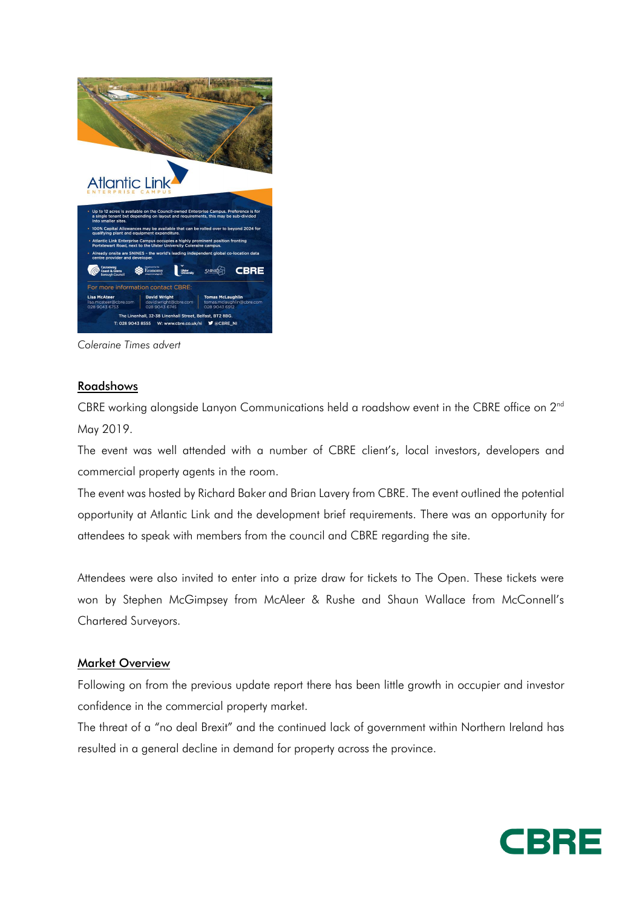

*Coleraine Times advert* 

### Roadshows

CBRE working alongside Lanyon Communications held a roadshow event in the CBRE office on 2<sup>nd</sup> May 2019.

The event was well attended with a number of CBRE client's, local investors, developers and commercial property agents in the room.

The event was hosted by Richard Baker and Brian Lavery from CBRE. The event outlined the potential opportunity at Atlantic Link and the development brief requirements. There was an opportunity for attendees to speak with members from the council and CBRE regarding the site.

Attendees were also invited to enter into a prize draw for tickets to The Open. These tickets were won by Stephen McGimpsey from McAleer & Rushe and Shaun Wallace from McConnell's Chartered Surveyors.

#### Market Overview

Following on from the previous update report there has been little growth in occupier and investor confidence in the commercial property market.

The threat of a "no deal Brexit" and the continued lack of government within Northern Ireland has resulted in a general decline in demand for property across the province.